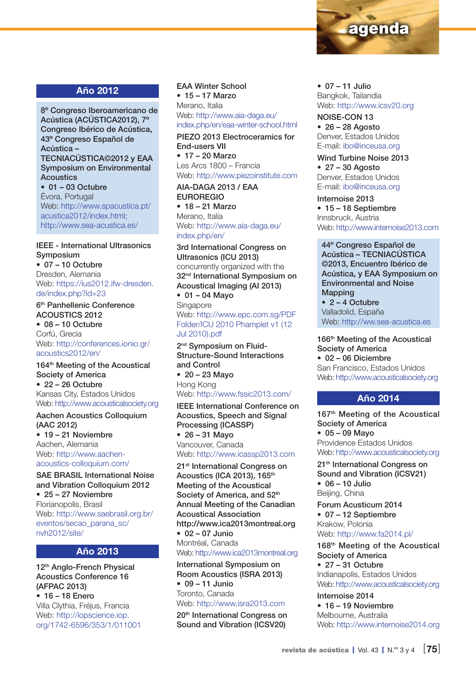

### Año 2012

8º Congreso Iberoamericano de Acústica (ACÚSTICA2012), 7º Congreso Ibérico de Acústica, 43º Congreso Español de Acústica – TECNIACÚSTICA©2012 y EAA Symposium on Environmental **Acoustics**  $• 01 - 03$  Octubre Évora, Portugal Web: http://www.spacustica.pt/ acustica2012/index.html;

http://www.sea-acustica.es/

#### IEEE - International Ultrasonics Symposium

• 07 – 10 Octubre Dresden, Alemania Web: https://ius2012.ifw-dresden. de/index.php?id=23

#### 6<sup>th</sup> Panhellenic Conference ACOUSTICS 2012

• 08 – 10 Octubre Corfú, Grecia Web: http://conferences.ionio.gr/ acoustics2012/en/

#### 164<sup>th</sup> Meeting of the Acoustical Society of America  $• 22 - 26$  Octubre Kansas City, Estados Unidos Web: http://www.acousticalsociety.org

Aachen Acoustics Colloquium (AAC 2012) • 19 – 21 Noviembre Aachen, Alemania Web: http://www.aachenacoustics-colloquium.com/

SAE BRASIL International Noise and Vibration Colloquium 2012 • 25 – 27 Noviembre Florianopolis, Brasil Web: http://www.saebrasil.org.br/ eventos/secao\_parana\_sc/

#### Año 2013

12th Anglo-French Physical Acoustics Conference 16 (AFPAC 2013) • 16 – 18 Enero Villa Clythia, Fréjus, Francia

nvh2012/site/

Web: http://iopscience.iop. org/1742-6596/353/1/011001 EAA Winter School • 15 – 17 Marzo Merano, Italia Web: http://www.aia-daga.eu/ index.php/en/eaa-winter-school.html

PIEZO 2013 Electroceramics for End-users VII • 17 – 20 Marzo

Les Arcs 1800 – Francia Web: http://www.piezoinstitute.com

AIA-DAGA 2013 / EAA EUROREGIO • 18 – 21 Marzo

Merano, Italia Web: http://www.aia-daga.eu/ index.php/en/

3rd International Congress on Ultrasonics (ICU 2013) concurrently organized with the 32<sup>nd</sup> International Symposium on Acoustical Imaging (AI 2013) • 01 – 04 Mayo

**Singapore** Web: http://www.epc.com.sg/PDF Folder/ICU 2010 Phamplet v1 (12 Jul 2010).pdf

2<sup>nd</sup> Symposium on Fluid-Structure-Sound Interactions and Control • 20 – 23 Mayo Hong Kong Web: http://www.fssic2013.com/

IEEE International Conference on Acoustics, Speech and Signal Processing (ICASSP) • 26 – 31 Mayo

Vancouver, Canada Web: http://www.icassp2013.com

21<sup>st</sup> International Congress on Acoustics (ICA 2013), 165<sup>th</sup> Meeting of the Acoustical Society of America, and 52<sup>th</sup> Annual Meeting of the Canadian Acoustical Association http://www.ica2013montreal.org • 02 – 07 Junio Montréal, Canada Web: http://www.ica2013montreal.org

International Symposium on Room Acoustics (ISRA 2013) • 09 – 11 Junio Toronto, Canada Web: http://www.isra2013.com

20<sup>th</sup> International Congress on Sound and Vibration (ICSV20)

 $• 07 - 11$  Julio

Bangkok, Tailandia Web: http://www.icsv20.org

NOISE-CON 13  $• 26 - 28$  Agosto Denver, Estados Unidos E-mail: ibo@inceusa.org

Wind Turbine Noise 2013  $\bullet$  27 – 30 Agosto Denver, Estados Unidos E-mail: ibo@inceusa.org

Internoise 2013 • 15 – 18 Septiembre Innsbruck, Austria Web: http://www.internoise2013.com

44º Congreso Español de Acústica – TECNIACÚSTICA ©2013, Encuentro Ibérico de Acústica, y EAA Symposium on Environmental and Noise Mapping • 2 – 4 Octubre Valladolid, España Web: http://ww.sea-acustica.es

166<sup>th</sup> Meeting of the Acoustical

Society of America • 02 – 06 Diciembre San Francisco, Estados Unidos Web: http://www.acousticalsociety.org

#### Año 2014

167<sup>th</sup> Meeting of the Acoustical Society of America • 05 – 09 Mayo Providence Estados Unidos Web: http://www.acousticalsociety.org

21<sup>th</sup> International Congress on Sound and Vibration (ICSV21) • 06 – 10 Julio Beijing, China

Forum Acusticum 2014 • 07 – 12 Septiembre Krakow, Polonia Web: http://www.fa2014.pl/

168th Meeting of the Acoustical Society of America  $• 27 - 31$  Octubre Indianapolis, Estados Unidos

Web: http://www.acousticalsociety.org Internoise 2014

• 16 – 19 Noviembre Melbourne, Australia Web: http://www.internoise2014.org